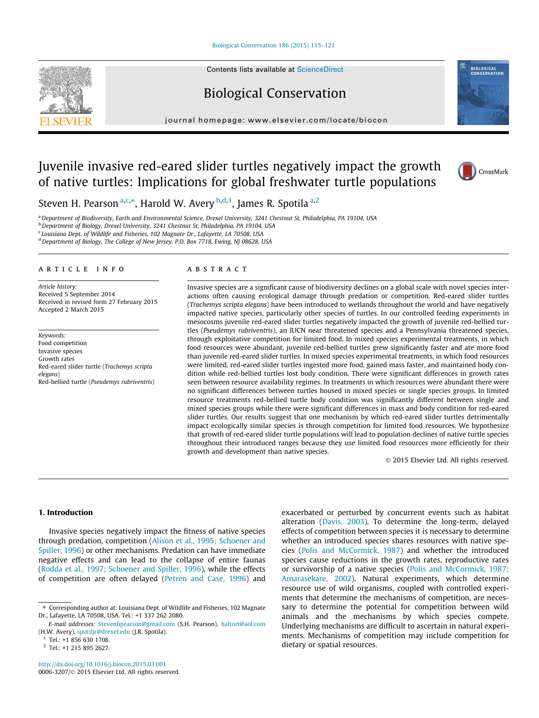# [Biological Conservation 186 \(2015\) 115–121](http://dx.doi.org/10.1016/j.biocon.2015.03.001)

Contents lists available at [ScienceDirect](http://www.sciencedirect.com/science/journal/00063207)

# Biological Conservation

journal homepage: [www.elsevier.com/locate/biocon](http://www.elsevier.com/locate/biocon)

# Juvenile invasive red-eared slider turtles negatively impact the growth of native turtles: Implications for global freshwater turtle populations



**BIOLOGICAL**<br>CONSERVATION

Steven H. Pearson <sup>a,c,</sup>\*, Harold W. Avery <sup>b,d,1</sup>, James R. Spotila <sup>a,2</sup>

a Department of Biodiversity, Earth and Environmental Science, Drexel University, 3241 Chestnut St, Philadelphia, PA 19104, USA <sup>b</sup> Department of Biology, Drexel University, 3241 Chestnut St, Philadelphia, PA 19104, USA

<sup>c</sup> Louisiana Dept. of Wildlife and Fisheries, 102 Magnate Dr., Lafayette, LA 70508, USA

<sup>d</sup> Department of Biology, The College of New Jersey, P.O. Box 7718, Ewing, NJ 08628, USA

## article info

Article history: Received 5 September 2014 Received in revised form 27 February 2015 Accepted 2 March 2015

Keywords: Food competition Invasive species Growth rates Red-eared slider turtle (Trachemys scripta elegans) Red-bellied turtle (Pseudemys rubriventris)

# **ABSTRACT**

Invasive species are a significant cause of biodiversity declines on a global scale with novel species interactions often causing ecological damage through predation or competition. Red-eared slider turtles (Trachemys scripta elegans) have been introduced to wetlands throughout the world and have negatively impacted native species, particularly other species of turtles. In our controlled feeding experiments in mesocosms juvenile red-eared slider turtles negatively impacted the growth of juvenile red-bellied turtles (Pseudemys rubriventris), an IUCN near threatened species and a Pennsylvania threatened species, through exploitative competition for limited food. In mixed species experimental treatments, in which food resources were abundant, juvenile red-bellied turtles grew significantly faster and ate more food than juvenile red-eared slider turtles. In mixed species experimental treatments, in which food resources were limited, red-eared slider turtles ingested more food, gained mass faster, and maintained body condition while red-bellied turtles lost body condition. There were significant differences in growth rates seen between resource availability regimes. In treatments in which resources were abundant there were no significant differences between turtles housed in mixed species or single species groups. In limited resource treatments red-bellied turtle body condition was significantly different between single and mixed species groups while there were significant differences in mass and body condition for red-eared slider turtles. Our results suggest that one mechanism by which red-eared slider turtles detrimentally impact ecologically similar species is through competition for limited food resources. We hypothesize that growth of red-eared slider turtle populations will lead to population declines of native turtle species throughout their introduced ranges because they use limited food resources more efficiently for their growth and development than native species.

- 2015 Elsevier Ltd. All rights reserved.

## 1. Introduction

Invasive species negatively impact the fitness of native species through predation, competition [\(Alison et al., 1995; Schoener and](#page-6-0) [Spiller, 1996\)](#page-6-0) or other mechanisms. Predation can have immediate negative effects and can lead to the collapse of entire faunas ([Rodda et al., 1997; Schoener and Spiller, 1996](#page-6-0)), while the effects of competition are often delayed [\(Petren and Case, 1996](#page-6-0)) and exacerbated or perturbed by concurrent events such as habitat alteration [\(Davis, 2003\)](#page-6-0). To determine the long-term, delayed effects of competition between species it is necessary to determine whether an introduced species shares resources with native species [\(Polis and McCormick, 1987](#page-6-0)) and whether the introduced species cause reductions in the growth rates, reproductive rates or survivorship of a native species [\(Polis and McCormick, 1987;](#page-6-0) [Amarasekare, 2002\)](#page-6-0). Natural experiments, which determine resource use of wild organisms, coupled with controlled experiments that determine the mechanisms of competition, are necessary to determine the potential for competition between wild animals and the mechanisms by which species compete. Underlying mechanisms are difficult to ascertain in natural experiments. Mechanisms of competition may include competition for dietary or spatial resources.



Corresponding author at: Louisiana Dept. of Wildlife and Fisheries, 102 Magnate Dr., Lafayette, LA 70508, USA. Tel.: +1 337 262 2080.

E-mail addresses: [Stevenhpearson@gmail.com](mailto:Stevenhpearson@gmail.com) (S.H. Pearson), [haltort@aol.com](mailto:haltort@aol.com) (H.W. Avery), [spotiljr@drexel.edu](mailto:spotiljr@drexel.edu) (J.R. Spotila).

 $1$  Tel: +1 856 630 1708

<sup>2</sup> Tel.: +1 215 895 2627.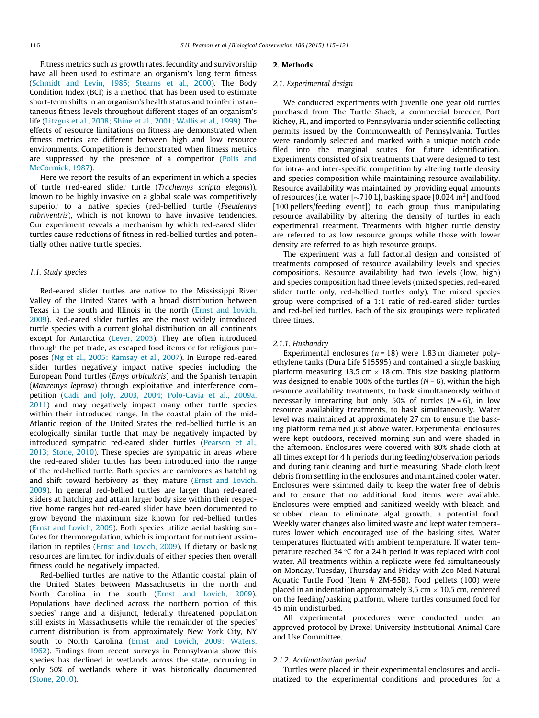Fitness metrics such as growth rates, fecundity and survivorship have all been used to estimate an organism's long term fitness ([Schmidt and Levin, 1985; Stearns et al., 2000\)](#page-6-0). The Body Condition Index (BCI) is a method that has been used to estimate short-term shifts in an organism's health status and to infer instantaneous fitness levels throughout different stages of an organism's life ([Litzgus et al., 2008; Shine et al., 2001; Wallis et al., 1999\)](#page-6-0). The effects of resource limitations on fitness are demonstrated when fitness metrics are different between high and low resource environments. Competition is demonstrated when fitness metrics are suppressed by the presence of a competitor ([Polis and](#page-6-0) [McCormick, 1987](#page-6-0)).

Here we report the results of an experiment in which a species of turtle (red-eared slider turtle (Trachemys scripta elegans)), known to be highly invasive on a global scale was competitively superior to a native species (red-bellied turtle (Pseudemys rubriventris), which is not known to have invasive tendencies. Our experiment reveals a mechanism by which red-eared slider turtles cause reductions of fitness in red-bellied turtles and potentially other native turtle species.

## 1.1. Study species

Red-eared slider turtles are native to the Mississippi River Valley of the United States with a broad distribution between Texas in the south and Illinois in the north ([Ernst and Lovich,](#page-6-0) [2009\)](#page-6-0). Red-eared slider turtles are the most widely introduced turtle species with a current global distribution on all continents except for Antarctica ([Lever, 2003](#page-6-0)). They are often introduced through the pet trade, as escaped food items or for religious purposes ([Ng et al., 2005; Ramsay et al., 2007\)](#page-6-0). In Europe red-eared slider turtles negatively impact native species including the European Pond turtles (Emys orbicularis) and the Spanish terrapin (Mauremys leprosa) through exploitative and interference competition ([Cadi and Joly, 2003, 2004; Polo-Cavia et al., 2009a,](#page-6-0) [2011\)](#page-6-0) and may negatively impact many other turtle species within their introduced range. In the coastal plain of the mid-Atlantic region of the United States the red-bellied turtle is an ecologically similar turtle that may be negatively impacted by introduced sympatric red-eared slider turtles [\(Pearson et al.,](#page-6-0) [2013; Stone, 2010\)](#page-6-0). These species are sympatric in areas where the red-eared slider turtles has been introduced into the range of the red-bellied turtle. Both species are carnivores as hatchling and shift toward herbivory as they mature ([Ernst and Lovich,](#page-6-0) [2009\)](#page-6-0). In general red-bellied turtles are larger than red-eared sliders at hatching and attain larger body size within their respective home ranges but red-eared slider have been documented to grow beyond the maximum size known for red-bellied turtles ([Ernst and Lovich, 2009\)](#page-6-0). Both species utilize aerial basking surfaces for thermoregulation, which is important for nutrient assimilation in reptiles [\(Ernst and Lovich, 2009\)](#page-6-0). If dietary or basking resources are limited for individuals of either species then overall fitness could be negatively impacted.

Red-bellied turtles are native to the Atlantic coastal plain of the United States between Massachusetts in the north and North Carolina in the south ([Ernst and Lovich, 2009\)](#page-6-0). Populations have declined across the northern portion of this species' range and a disjunct, federally threatened population still exists in Massachusetts while the remainder of the species' current distribution is from approximately New York City, NY south to North Carolina [\(Ernst and Lovich, 2009; Waters,](#page-6-0) [1962\)](#page-6-0). Findings from recent surveys in Pennsylvania show this species has declined in wetlands across the state, occurring in only 50% of wetlands where it was historically documented ([Stone, 2010](#page-6-0)).

# 2. Methods

#### 2.1. Experimental design

We conducted experiments with juvenile one year old turtles purchased from The Turtle Shack, a commercial breeder, Port Richey, FL, and imported to Pennsylvania under scientific collecting permits issued by the Commonwealth of Pennsylvania. Turtles were randomly selected and marked with a unique notch code filed into the marginal scutes for future identification. Experiments consisted of six treatments that were designed to test for intra- and inter-specific competition by altering turtle density and species composition while maintaining resource availability. Resource availability was maintained by providing equal amounts of resources (i.e. water [ $\sim$ 710 L], basking space [0.024 m<sup>2</sup>] and food [100 pellets/feeding event]) to each group thus manipulating resource availability by altering the density of turtles in each experimental treatment. Treatments with higher turtle density are referred to as low resource groups while those with lower density are referred to as high resource groups.

The experiment was a full factorial design and consisted of treatments composed of resource availability levels and species compositions. Resource availability had two levels (low, high) and species composition had three levels (mixed species, red-eared slider turtle only, red-bellied turtles only). The mixed species group were comprised of a 1:1 ratio of red-eared slider turtles and red-bellied turtles. Each of the six groupings were replicated three times.

#### 2.1.1. Husbandry

Experimental enclosures ( $n = 18$ ) were 1.83 m diameter polyethylene tanks (Dura Life S15595) and contained a single basking platform measuring 13.5 cm  $\times$  18 cm. This size basking platform was designed to enable 100% of the turtles ( $N = 6$ ), within the high resource availability treatments, to bask simultaneously without necessarily interacting but only 50% of turtles  $(N = 6)$ , in low resource availability treatments, to bask simultaneously. Water level was maintained at approximately 27 cm to ensure the basking platform remained just above water. Experimental enclosures were kept outdoors, received morning sun and were shaded in the afternoon. Enclosures were covered with 80% shade cloth at all times except for 4 h periods during feeding/observation periods and during tank cleaning and turtle measuring. Shade cloth kept debris from settling in the enclosures and maintained cooler water. Enclosures were skimmed daily to keep the water free of debris and to ensure that no additional food items were available. Enclosures were emptied and sanitized weekly with bleach and scrubbed clean to eliminate algal growth, a potential food. Weekly water changes also limited waste and kept water temperatures lower which encouraged use of the basking sites. Water temperatures fluctuated with ambient temperature. If water temperature reached 34  $\degree$ C for a 24 h period it was replaced with cool water. All treatments within a replicate were fed simultaneously on Monday, Tuesday, Thursday and Friday with Zoo Med Natural Aquatic Turtle Food (Item # ZM-55B). Food pellets (100) were placed in an indentation approximately 3.5 cm  $\times$  10.5 cm, centered on the feeding/basking platform, where turtles consumed food for 45 min undisturbed.

All experimental procedures were conducted under an approved protocol by Drexel University Institutional Animal Care and Use Committee.

## 2.1.2. Acclimatization period

Turtles were placed in their experimental enclosures and acclimatized to the experimental conditions and procedures for a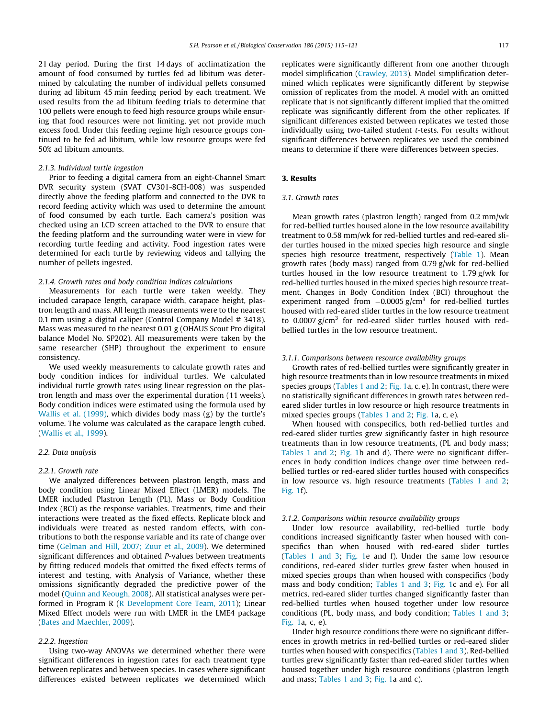21 day period. During the first 14 days of acclimatization the amount of food consumed by turtles fed ad libitum was determined by calculating the number of individual pellets consumed during ad libitum 45 min feeding period by each treatment. We used results from the ad libitum feeding trials to determine that 100 pellets were enough to feed high resource groups while ensuring that food resources were not limiting, yet not provide much excess food. Under this feeding regime high resource groups continued to be fed ad libitum, while low resource groups were fed 50% ad libitum amounts.

# 2.1.3. Individual turtle ingestion

Prior to feeding a digital camera from an eight-Channel Smart DVR security system (SVAT CV301-8CH-008) was suspended directly above the feeding platform and connected to the DVR to record feeding activity which was used to determine the amount of food consumed by each turtle. Each camera's position was checked using an LCD screen attached to the DVR to ensure that the feeding platform and the surrounding water were in view for recording turtle feeding and activity. Food ingestion rates were determined for each turtle by reviewing videos and tallying the number of pellets ingested.

## 2.1.4. Growth rates and body condition indices calculations

Measurements for each turtle were taken weekly. They included carapace length, carapace width, carapace height, plastron length and mass. All length measurements were to the nearest 0.1 mm using a digital caliper (Control Company Model # 3418). Mass was measured to the nearest 0.01 g (OHAUS Scout Pro digital balance Model No. SP202). All measurements were taken by the same researcher (SHP) throughout the experiment to ensure consistency.

We used weekly measurements to calculate growth rates and body condition indices for individual turtles. We calculated individual turtle growth rates using linear regression on the plastron length and mass over the experimental duration (11 weeks). Body condition indices were estimated using the formula used by [Wallis et al. \(1999\),](#page-6-0) which divides body mass (g) by the turtle's volume. The volume was calculated as the carapace length cubed. ([Wallis et al., 1999](#page-6-0)).

## 2.2. Data analysis

#### 2.2.1. Growth rate

We analyzed differences between plastron length, mass and body condition using Linear Mixed Effect (LMER) models. The LMER included Plastron Length (PL), Mass or Body Condition Index (BCI) as the response variables. Treatments, time and their interactions were treated as the fixed effects. Replicate block and individuals were treated as nested random effects, with contributions to both the response variable and its rate of change over time [\(Gelman and Hill, 2007; Zuur et al., 2009](#page-6-0)). We determined significant differences and obtained P-values between treatments by fitting reduced models that omitted the fixed effects terms of interest and testing, with Analysis of Variance, whether these omissions significantly degraded the predictive power of the model ([Quinn and Keough, 2008](#page-6-0)). All statistical analyses were performed in Program R ([R Development Core Team, 2011\)](#page-6-0); Linear Mixed Effect models were run with LMER in the LME4 package ([Bates and Maechler, 2009\)](#page-6-0).

#### 2.2.2. Ingestion

Using two-way ANOVAs we determined whether there were significant differences in ingestion rates for each treatment type between replicates and between species. In cases where significant differences existed between replicates we determined which replicates were significantly different from one another through model simplification ([Crawley, 2013](#page-6-0)). Model simplification determined which replicates were significantly different by stepwise omission of replicates from the model. A model with an omitted replicate that is not significantly different implied that the omitted replicate was significantly different from the other replicates. If significant differences existed between replicates we tested those individually using two-tailed student t-tests. For results without significant differences between replicates we used the combined means to determine if there were differences between species.

# 3. Results

## 3.1. Growth rates

Mean growth rates (plastron length) ranged from 0.2 mm/wk for red-bellied turtles housed alone in the low resource availability treatment to 0.58 mm/wk for red-bellied turtles and red-eared slider turtles housed in the mixed species high resource and single species high resource treatment, respectively [\(Table 1](#page-3-0)). Mean growth rates (body mass) ranged from 0.79 g/wk for red-bellied turtles housed in the low resource treatment to 1.79 g/wk for red-bellied turtles housed in the mixed species high resource treatment. Changes in Body Condition Index (BCI) throughout the experiment ranged from  $-0.0005$  g/cm<sup>3</sup> for red-bellied turtles housed with red-eared slider turtles in the low resource treatment to 0.0007  $g/cm<sup>3</sup>$  for red-eared slider turtles housed with redbellied turtles in the low resource treatment.

#### 3.1.1. Comparisons between resource availability groups

Growth rates of red-bellied turtles were significantly greater in high resource treatments than in low resource treatments in mixed species groups ([Tables 1 and 2](#page-3-0); [Fig. 1](#page-4-0)a, c, e). In contrast, there were no statistically significant differences in growth rates between redeared slider turtles in low resource or high resource treatments in mixed species groups [\(Tables 1 and 2;](#page-3-0) [Fig. 1a](#page-4-0), c, e).

When housed with conspecifics, both red-bellied turtles and red-eared slider turtles grew significantly faster in high resource treatments than in low resource treatments, (PL and body mass; [Tables 1 and 2](#page-3-0); [Fig. 1](#page-4-0)b and d). There were no significant differences in body condition indices change over time between redbellied turtles or red-eared slider turtles housed with conspecifics in low resource vs. high resource treatments [\(Tables 1 and 2;](#page-3-0) [Fig. 1](#page-4-0)f).

#### 3.1.2. Comparisons within resource availability groups

Under low resource availability, red-bellied turtle body conditions increased significantly faster when housed with conspecifics than when housed with red-eared slider turtles ([Tables 1 and 3](#page-3-0); [Fig. 1e](#page-4-0) and f). Under the same low resource conditions, red-eared slider turtles grew faster when housed in mixed species groups than when housed with conspecifics (body mass and body condition; [Tables 1 and 3](#page-3-0); [Fig. 1c](#page-4-0) and e). For all metrics, red-eared slider turtles changed significantly faster than red-bellied turtles when housed together under low resource conditions (PL, body mass, and body condition; [Tables 1 and 3;](#page-3-0) [Fig. 1a](#page-4-0), c, e).

Under high resource conditions there were no significant differences in growth metrics in red-bellied turtles or red-eared slider turtles when housed with conspecifics ([Tables 1 and 3\)](#page-3-0). Red-bellied turtles grew significantly faster than red-eared slider turtles when housed together under high resource conditions (plastron length and mass; [Tables 1 and 3](#page-3-0); [Fig. 1](#page-4-0)a and c).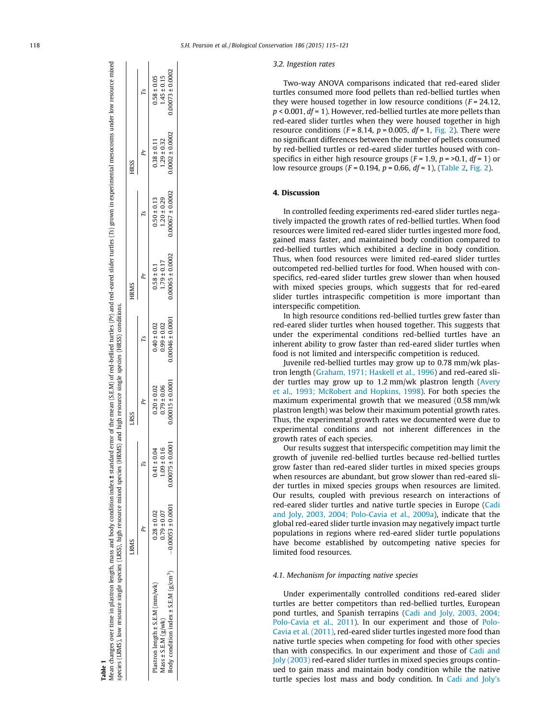<span id="page-3-0"></span>

| Mean changes over time in plastron length, mass and body condition index ± standard error of the mean (S.E.M) of red-bellied turtles (Pr) and red-eared slider turtles (Ts) grown in experimental mesocosms under low resource<br>pecies (LRMS), low resource single species (LRSS), high resource mixed species ( | LRMS                  |                         | LRSS                 | HRMS) and high resource single species (HRSS) conditions. | HRMS                 |                     | HRSS                |                      |
|--------------------------------------------------------------------------------------------------------------------------------------------------------------------------------------------------------------------------------------------------------------------------------------------------------------------|-----------------------|-------------------------|----------------------|-----------------------------------------------------------|----------------------|---------------------|---------------------|----------------------|
|                                                                                                                                                                                                                                                                                                                    | ì                     |                         | ì                    |                                                           |                      |                     |                     |                      |
| $Plastron$ length $\pm$ S.E.M (mm/wk)                                                                                                                                                                                                                                                                              | $0.28 \pm 0.02$       | $0.41 \pm$              | $0.20 \pm 0.02$      | $0.40 \pm 0.02$                                           | $0.58 \pm 0.1$       | $0.50 \pm 0.13$     | $0.38 \pm 0.11$     | $0.58 \pm 0.05$      |
| $Mass \pm S.E.M (g/wk)$                                                                                                                                                                                                                                                                                            | $0.79 \pm 0.07$       | 0.16<br>$1.09 +$        | $0.79 \pm 0.06$      | $0.99 \pm 0.02$                                           | $1.79 \pm 0.17$      | $1.20 \pm 0.29$     | $1.29 \pm 0.32$     | $1.45 \pm 0.15$      |
| Body condition index $\pm$ S.E.M (g/cm <sup>3</sup> )                                                                                                                                                                                                                                                              | $-0.00053 \pm 0.0001$ | 0.0001<br>$0.00075 \pm$ | $0.00015 \pm 0.0001$ | $0.00046 \pm 0.0001$                                      | $0.00065 \pm 0.0002$ | $.00067 \pm 0.0002$ | $0.0002 \pm 0.0002$ | $0.00073 \pm 0.0002$ |

Table 1

#### 3.2. Ingestion rates

Two-way ANOVA comparisons indicated that red-eared slider turtles consumed more food pellets than red-bellied turtles when they were housed together in low resource conditions  $(F = 24.12)$  $p$  < 0.001,  $df = 1$ ). However, red-bellied turtles ate more pellets than red-eared slider turtles when they were housed together in high resource conditions ( $F = 8.14$ ,  $p = 0.005$ ,  $df = 1$ , [Fig. 2](#page-5-0)). There were no significant differences between the number of pellets consumed by red-bellied turtles or red-eared slider turtles housed with conspecifics in either high resource groups ( $F = 1.9$ ,  $p = > 0.1$ ,  $df = 1$ ) or low resource groups ( $F = 0.194$ ,  $p = 0.66$ ,  $df = 1$ ), [\(Table 2](#page-4-0), [Fig. 2\)](#page-5-0).

# 4. Discussion

In controlled feeding experiments red-eared slider turtles negatively impacted the growth rates of red-bellied turtles. When food resources were limited red-eared slider turtles ingested more food, gained mass faster, and maintained body condition compared to red-bellied turtles which exhibited a decline in body condition. Thus, when food resources were limited red-eared slider turtles outcompeted red-bellied turtles for food. When housed with conspecifics, red-eared slider turtles grew slower than when housed with mixed species groups, which suggests that for red-eared slider turtles intraspecific competition is more important than interspecific competition.

In high resource conditions red-bellied turtles grew faster than red-eared slider turtles when housed together. This suggests that under the experimental conditions red-bellied turtles have an inherent ability to grow faster than red-eared slider turtles when food is not limited and interspecific competition is reduced.

Juvenile red-bellied turtles may grow up to 0.78 mm/wk plastron length ([Graham, 1971; Haskell et al., 1996](#page-6-0)) and red-eared slider turtles may grow up to 1.2 mm/wk plastron length ([Avery](#page-6-0) [et al., 1993; McRobert and Hopkins, 1998](#page-6-0)). For both species the maximum experimental growth that we measured (0.58 mm/wk plastron length) was below their maximum potential growth rates. Thus, the experimental growth rates we documented were due to experimental conditions and not inherent differences in the growth rates of each species.

Our results suggest that interspecific competition may limit the growth of juvenile red-bellied turtles because red-bellied turtles grow faster than red-eared slider turtles in mixed species groups when resources are abundant, but grow slower than red-eared slider turtles in mixed species groups when resources are limited. Our results, coupled with previous research on interactions of red-eared slider turtles and native turtle species in Europe [\(Cadi](#page-6-0) [and Joly, 2003, 2004; Polo-Cavia et al., 2009a\)](#page-6-0), indicate that the global red-eared slider turtle invasion may negatively impact turtle populations in regions where red-eared slider turtle populations have become established by outcompeting native species for limited food resources.

# 4.1. Mechanism for impacting native species

Under experimentally controlled conditions red-eared slider turtles are better competitors than red-bellied turtles, European pond turtles, and Spanish terrapins ([Cadi and Joly, 2003, 2004;](#page-6-0) [Polo-Cavia et al., 2011\)](#page-6-0). In our experiment and those of [Polo-](#page-6-0)[Cavia et al. \(2011\),](#page-6-0) red-eared slider turtles ingested more food than native turtle species when competing for food with other species than with conspecifics. In our experiment and those of [Cadi and](#page-6-0) [Joly \(2003\)](#page-6-0) red-eared slider turtles in mixed species groups continued to gain mass and maintain body condition while the native turtle species lost mass and body condition. In [Cadi and Joly's](#page-6-0)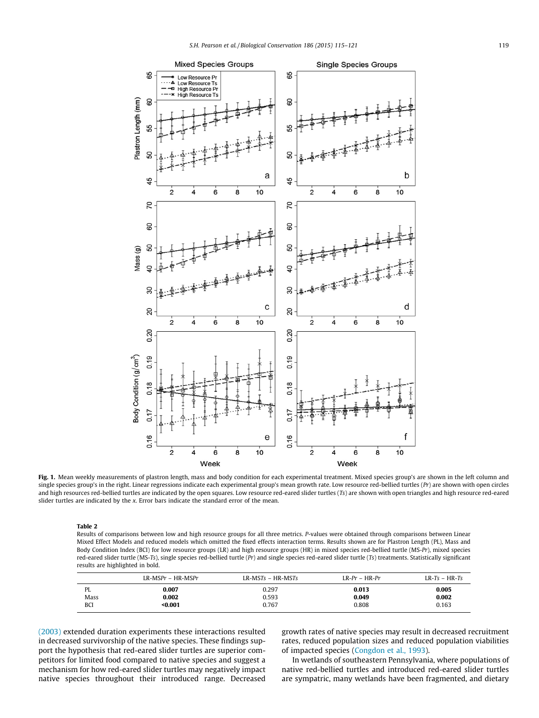<span id="page-4-0"></span>

Fig. 1. Mean weekly measurements of plastron length, mass and body condition for each experimental treatment. Mixed species group's are shown in the left column and single species group's in the right. Linear regressions indicate each experimental group's mean growth rate. Low resource red-bellied turtles (Pr) are shown with open circles and high resources red-bellied turtles are indicated by the open squares. Low resource red-eared slider turtles (Ts) are shown with open triangles and high resource red-eared slider turtles are indicated by the x. Error bars indicate the standard error of the mean.

#### Table 2

Results of comparisons between low and high resource groups for all three metrics. P-values were obtained through comparisons between Linear Mixed Effect Models and reduced models which omitted the fixed effects interaction terms. Results shown are for Plastron Length (PL), Mass and Body Condition Index (BCI) for low resource groups (LR) and high resource groups (HR) in mixed species red-bellied turtle (MS-Pr), mixed species red-eared slider turtle (MS-Ts), single species red-bellied turtle (Pr) and single species red-eared slider turtle (Ts) treatments. Statistically significant results are highlighted in bold.

|            | $LR$ -MSPr – HR-MSPr | $LR-MSTs - HR-MSTs$ | $LR-Pr - HR-Pr$ | $LR-Ts - HR-Ts$ |
|------------|----------------------|---------------------|-----------------|-----------------|
| PL         | 0.007                | 0.297               | 0.013           | 0.005           |
| Mass       | 0.002                | 0.593               | 0.049           | 0.002           |
| <b>BCI</b> | <0.001               | 0.767               | 0.808           | 0.163           |

[\(2003\)](#page-6-0) extended duration experiments these interactions resulted in decreased survivorship of the native species. These findings support the hypothesis that red-eared slider turtles are superior competitors for limited food compared to native species and suggest a mechanism for how red-eared slider turtles may negatively impact native species throughout their introduced range. Decreased growth rates of native species may result in decreased recruitment rates, reduced population sizes and reduced population viabilities of impacted species [\(Congdon et al., 1993](#page-6-0)).

In wetlands of southeastern Pennsylvania, where populations of native red-bellied turtles and introduced red-eared slider turtles are sympatric, many wetlands have been fragmented, and dietary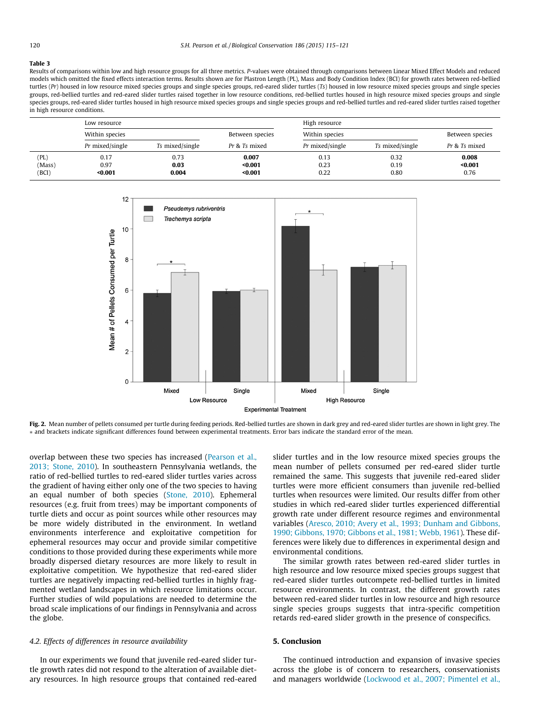#### <span id="page-5-0"></span>Table 3

Results of comparisons within low and high resource groups for all three metrics. P-values were obtained through comparisons between Linear Mixed Effect Models and reduced models which omitted the fixed effects interaction terms. Results shown are for Plastron Length (PL), Mass and Body Condition Index (BCI) for growth rates between red-bellied turtles (Pr) housed in low resource mixed species groups and single species groups, red-eared slider turtles (Ts) housed in low resource mixed species groups and single species groups, red-bellied turtles and red-eared slider turtles raised together in low resource conditions, red-bellied turtles housed in high resource mixed species groups and single species groups, red-eared slider turtles housed in high resource mixed species groups and single species groups and red-bellied turtles and red-eared slider turtles raised together in high resource conditions.

|        | Low resource    |                 |                 | High resource   |                 |                 |
|--------|-----------------|-----------------|-----------------|-----------------|-----------------|-----------------|
|        | Within species  |                 | Between species | Within species  |                 | Between species |
|        | Pr mixed/single | Ts mixed/single | Pr & Ts mixed   | Pr mixed/single | Ts mixed/single | Pr & Ts mixed   |
| (PL)   | 0.17            | 0.73            | 0.007           | 0.13            | 0.32            | 0.008           |
| (Mass) | 0.97            | 0.03            | $0.001$         | 0.23            | 0.19            | $0.001$         |
| (BCI)  | $0.001$         | 0.004           | $0.001$         | 0.22            | 0.80            | 0.76            |



Fig. 2. Mean number of pellets consumed per turtle during feeding periods. Red-bellied turtles are shown in dark grey and red-eared slider turtles are shown in light grey. The ⁄ and brackets indicate significant differences found between experimental treatments. Error bars indicate the standard error of the mean.

overlap between these two species has increased ([Pearson et al.,](#page-6-0) [2013; Stone, 2010](#page-6-0)). In southeastern Pennsylvania wetlands, the ratio of red-bellied turtles to red-eared slider turtles varies across the gradient of having either only one of the two species to having an equal number of both species [\(Stone, 2010](#page-6-0)). Ephemeral resources (e.g. fruit from trees) may be important components of turtle diets and occur as point sources while other resources may be more widely distributed in the environment. In wetland environments interference and exploitative competition for ephemeral resources may occur and provide similar competitive conditions to those provided during these experiments while more broadly dispersed dietary resources are more likely to result in exploitative competition. We hypothesize that red-eared slider turtles are negatively impacting red-bellied turtles in highly fragmented wetland landscapes in which resource limitations occur. Further studies of wild populations are needed to determine the broad scale implications of our findings in Pennsylvania and across the globe.

# 4.2. Effects of differences in resource availability

In our experiments we found that juvenile red-eared slider turtle growth rates did not respond to the alteration of available dietary resources. In high resource groups that contained red-eared slider turtles and in the low resource mixed species groups the mean number of pellets consumed per red-eared slider turtle remained the same. This suggests that juvenile red-eared slider turtles were more efficient consumers than juvenile red-bellied turtles when resources were limited. Our results differ from other studies in which red-eared slider turtles experienced differential growth rate under different resource regimes and environmental variables [\(Aresco, 2010; Avery et al., 1993; Dunham and Gibbons,](#page-6-0) [1990; Gibbons, 1970; Gibbons et al., 1981; Webb, 1961\)](#page-6-0). These differences were likely due to differences in experimental design and environmental conditions.

The similar growth rates between red-eared slider turtles in high resource and low resource mixed species groups suggest that red-eared slider turtles outcompete red-bellied turtles in limited resource environments. In contrast, the different growth rates between red-eared slider turtles in low resource and high resource single species groups suggests that intra-specific competition retards red-eared slider growth in the presence of conspecifics.

# 5. Conclusion

The continued introduction and expansion of invasive species across the globe is of concern to researchers, conservationists and managers worldwide [\(Lockwood et al., 2007; Pimentel et al.,](#page-6-0)